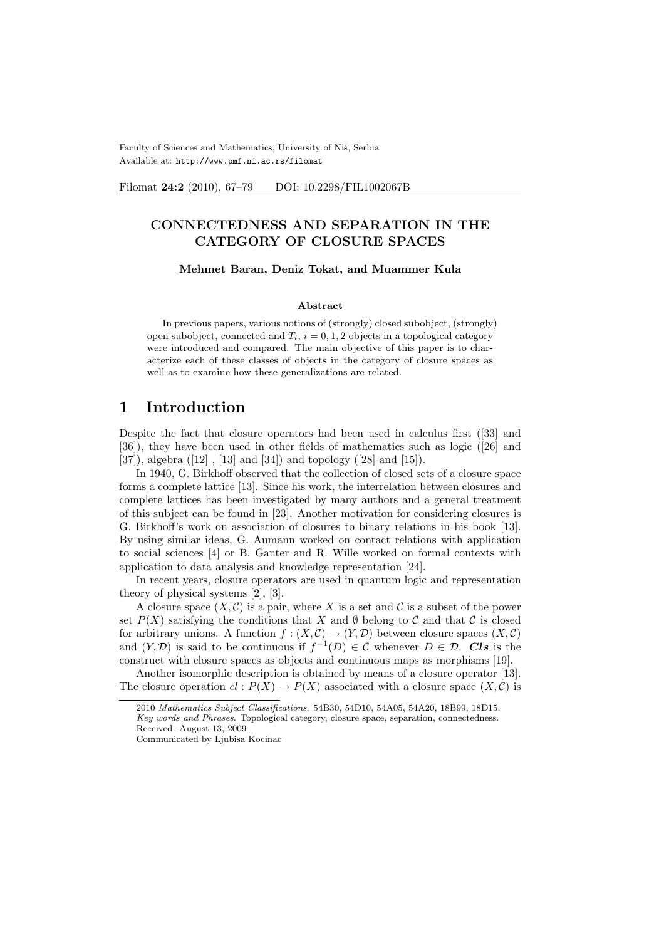Faculty of Sciences and Mathematics, University of Niš, Serbia Available at: http://www.pmf.ni.ac.rs/filomat

Filomat 24:2 (2010), 67-79 DOI: 10.2298/FIL1002067B

### CONNECTEDNESS AND SEPARATION IN THE CATEGORY OF CLOSURE SPACES

#### Mehmet Baran, Deniz Tokat, and Muammer Kula

#### Abstract

In previous papers, various notions of (strongly) closed subobject, (strongly) open subobject, connected and  $T_i$ ,  $i = 0, 1, 2$  objects in a topological category were introduced and compared. The main objective of this paper is to characterize each of these classes of objects in the category of closure spaces as well as to examine how these generalizations are related.

#### 1 Introduction

Despite the fact that closure operators had been used in calculus first ([33] and [36]), they have been used in other fields of mathematics such as logic ([26] and [37]), algebra ([12] , [13] and [34]) and topology ([28] and [15]).

In 1940, G. Birkhoff observed that the collection of closed sets of a closure space forms a complete lattice [13]. Since his work, the interrelation between closures and complete lattices has been investigated by many authors and a general treatment of this subject can be found in [23]. Another motivation for considering closures is G. Birkhoff's work on association of closures to binary relations in his book [13]. By using similar ideas, G. Aumann worked on contact relations with application to social sciences [4] or B. Ganter and R. Wille worked on formal contexts with application to data analysis and knowledge representation [24].

In recent years, closure operators are used in quantum logic and representation theory of physical systems [2], [3].

A closure space  $(X, \mathcal{C})$  is a pair, where X is a set and C is a subset of the power set  $P(X)$  satisfying the conditions that X and Ø belong to C and that C is closed for arbitrary unions. A function  $f : (X, \mathcal{C}) \to (Y, \mathcal{D})$  between closure spaces  $(X, \mathcal{C})$ and  $(Y, \mathcal{D})$  is said to be continuous if  $f^{-1}(D) \in \mathcal{C}$  whenever  $D \in \mathcal{D}$ . Cls is the construct with closure spaces as objects and continuous maps as morphisms [19].

Another isomorphic description is obtained by means of a closure operator [13]. The closure operation  $cl : P(X) \to P(X)$  associated with a closure space  $(X, C)$  is

<sup>2010</sup> Mathematics Subject Classifications. 54B30, 54D10, 54A05, 54A20, 18B99, 18D15. Key words and Phrases. Topological category, closure space, separation, connectedness. Received: August 13, 2009

Communicated by Ljubisa Kocinac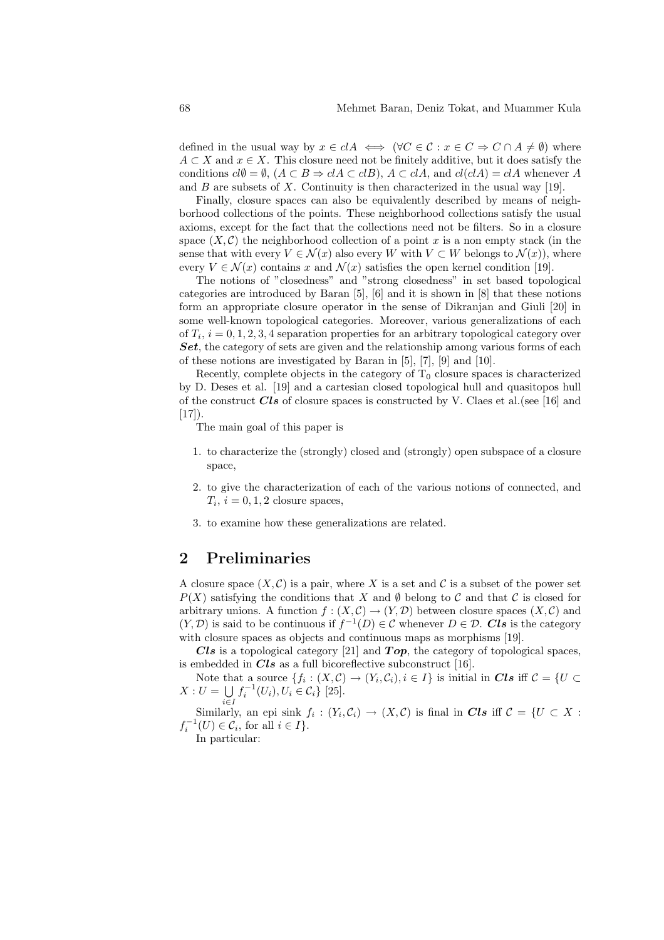defined in the usual way by  $x \in c \, A \iff (\forall C \in \mathcal{C} : x \in C \Rightarrow C \cap A \neq \emptyset)$  where  $A \subset X$  and  $x \in X$ . This closure need not be finitely additive, but it does satisfy the conditions  $cl\emptyset = \emptyset$ ,  $(A \subseteq B \Rightarrow clA \subseteq clB)$ ,  $A \subseteq clA$ , and  $cl(clA) = clA$  whenever A and  $B$  are subsets of  $X$ . Continuity is then characterized in the usual way [19].

Finally, closure spaces can also be equivalently described by means of neighborhood collections of the points. These neighborhood collections satisfy the usual axioms, except for the fact that the collections need not be filters. So in a closure space  $(X, \mathcal{C})$  the neighborhood collection of a point x is a non empty stack (in the sense that with every  $V \in \mathcal{N}(x)$  also every W with  $V \subset W$  belongs to  $\mathcal{N}(x)$ , where every  $V \in \mathcal{N}(x)$  contains x and  $\mathcal{N}(x)$  satisfies the open kernel condition [19].

The notions of "closedness" and "strong closedness" in set based topological categories are introduced by Baran [5], [6] and it is shown in [8] that these notions form an appropriate closure operator in the sense of Dikranjan and Giuli [20] in some well-known topological categories. Moreover, various generalizations of each of  $T_i$ ,  $i = 0, 1, 2, 3, 4$  separation properties for an arbitrary topological category over Set, the category of sets are given and the relationship among various forms of each of these notions are investigated by Baran in [5], [7], [9] and [10].

Recently, complete objects in the category of  $T_0$  closure spaces is characterized by D. Deses et al. [19] and a cartesian closed topological hull and quasitopos hull of the construct  $Cls$  of closure spaces is constructed by V. Claes et al. (see [16] and  $[17]$ .

The main goal of this paper is

- 1. to characterize the (strongly) closed and (strongly) open subspace of a closure space,
- 2. to give the characterization of each of the various notions of connected, and  $T_i$ ,  $i = 0, 1, 2$  closure spaces,
- 3. to examine how these generalizations are related.

# 2 Preliminaries

A closure space  $(X, \mathcal{C})$  is a pair, where X is a set and C is a subset of the power set  $P(X)$  satisfying the conditions that X and  $\emptyset$  belong to C and that C is closed for arbitrary unions. A function  $f : (X, \mathcal{C}) \to (Y, \mathcal{D})$  between closure spaces  $(X, \mathcal{C})$  and  $(Y, \mathcal{D})$  is said to be continuous if  $f^{-1}(D) \in \mathcal{C}$  whenever  $D \in \mathcal{D}$ . Cls is the category with closure spaces as objects and continuous maps as morphisms [19].

Cls is a topological category [21] and  $Top$ , the category of topological spaces, is embedded in  $Cls$  as a full bicoreflective subconstruct [16].

Note that a source  $\{f_i : (X, \mathcal{C}) \to (Y_i, \mathcal{C}_i), i \in I\}$  is initial in Cls iff  $\mathcal{C} = \{U \subset$  $X: U = \bigcup f_i^{-1}(U_i), U_i \in C_i \}$  [25].

Similarly, an epi sink  $f_i: (Y_i, C_i) \to (X, C)$  is final in Cls iff  $C = \{U \subset X :$  $f_i^{-1}(U) \in \mathcal{C}_i$ , for all  $i \in I$ .

In particular: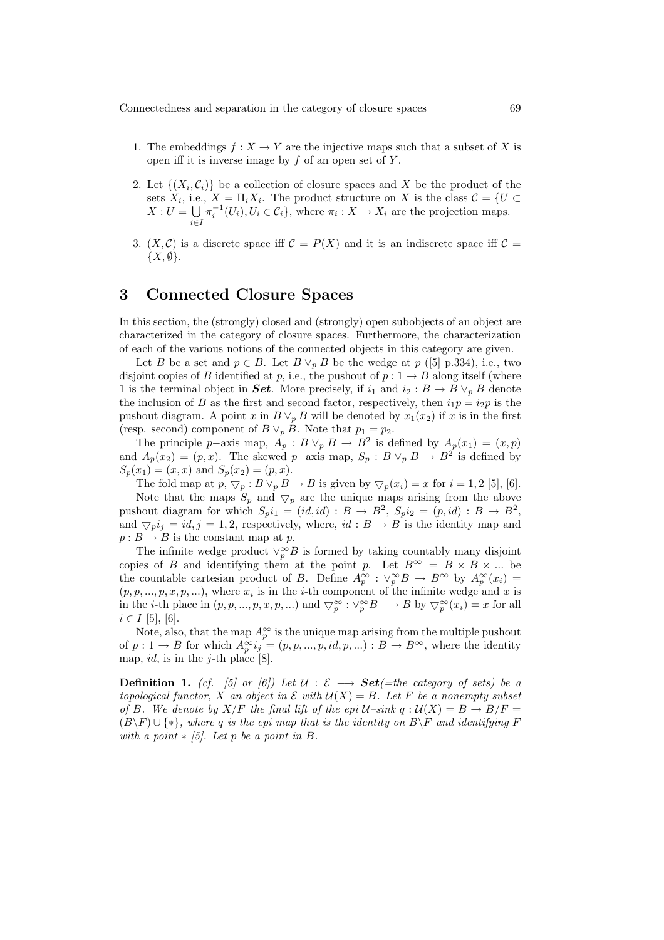- 1. The embeddings  $f: X \to Y$  are the injective maps such that a subset of X is open iff it is inverse image by  $f$  of an open set of  $Y$ .
- 2. Let  $\{(X_i,\mathcal{C}_i)\}\$ be a collection of closure spaces and X be the product of the sets  $X_i$ , i.e.,  $X = \Pi_i X_i$ . The product structure on X is the class  $\mathcal{C} = \{U \subset$  $X:U=$ i∈I  $\pi_i^{-1}(U_i), U_i \in \mathcal{C}_i$ , where  $\pi_i: X \to X_i$  are the projection maps.
- 3.  $(X, \mathcal{C})$  is a discrete space iff  $\mathcal{C} = P(X)$  and it is an indiscrete space iff  $\mathcal{C} =$  $\{X,\emptyset\}.$

#### 3 Connected Closure Spaces

In this section, the (strongly) closed and (strongly) open subobjects of an object are characterized in the category of closure spaces. Furthermore, the characterization of each of the various notions of the connected objects in this category are given.

Let B be a set and  $p \in B$ . Let  $B \vee_p B$  be the wedge at p ([5] p.334), i.e., two disjoint copies of B identified at p, i.e., the pushout of  $p: 1 \rightarrow B$  along itself (where 1 is the terminal object in Set. More precisely, if  $i_1$  and  $i_2 : B \to B \vee_p B$  denote the inclusion of B as the first and second factor, respectively, then  $i_1p = i_2p$  is the pushout diagram. A point x in  $B \vee_p B$  will be denoted by  $x_1(x_2)$  if x is in the first (resp. second) component of  $B \vee_p B$ . Note that  $p_1 = p_2$ .

The principle p–axis map,  $A_p : B \vee_p B \to B^2$  is defined by  $A_p(x_1) = (x, p)$ and  $A_p(x_2) = (p, x)$ . The skewed p–axis map,  $S_p : B \vee_p B \to B^2$  is defined by  $S_p(x_1) = (x, x)$  and  $S_p(x_2) = (p, x)$ .

The fold map at  $p, \nabla_p : B \vee_p B \to B$  is given by  $\nabla_p(x_i) = x$  for  $i = 1, 2$  [5], [6]. Note that the maps  $S_p$  and  $\bigtriangledown_p$  are the unique maps arising from the above pushout diagram for which  $S_p i_1 = (id, id) : B \to B^2$ ,  $S_p i_2 = (p, id) : B \to B^2$ , and  $\bigtriangledown_p i_j = id, j = 1, 2$ , respectively, where,  $id : B \to B$  is the identity map and  $p : B \to B$  is the constant map at p.

The infinite wedge product  $\vee_p^{\infty} B$  is formed by taking countably many disjoint copies of B and identifying them at the point p. Let  $B^{\infty} = B \times B \times ...$  be the countable cartesian product of B. Define  $A_p^{\infty}$  :  $\vee_p^{\infty} B \to B^{\infty}$  by  $A_p^{\infty}(x_i) =$  $(p, p, ..., p, x, p, ...)$ , where  $x_i$  is in the *i*-th component of the infinite wedge and x is in the *i*-th place in  $(p, p, ..., p, x, p, ...)$  and  $\bigtriangledown_p^{\infty} : \vee_p^{\infty}B \longrightarrow B$  by  $\bigtriangledown_p^{\infty}(x_i) = x$  for all  $i \in I$  [5], [6].

Note, also, that the map  $A_p^{\infty}$  is the unique map arising from the multiple pushout of  $p: 1 \to B$  for which  $A_p^{\infty} i_j = (p, p, ..., p, id, p, ...) : B \to B^{\infty}$ , where the identity map,  $id$ , is in the j-th place [8].

**Definition 1.** (cf. [5] or [6]) Let  $\mathcal{U} : \mathcal{E} \longrightarrow Set( = the \ category \ of \ sets) \ be \ a$ topological functor, X an object in  $\mathcal E$  with  $\mathcal U(X) = B$ . Let F be a nonempty subset of B. We denote by  $X/F$  the final lift of the epi  $U\text{-sink } q : U(X) = B \rightarrow B/F =$  $(B\backslash F) \cup \{*\}$ , where q is the epi map that is the identity on  $B\backslash F$  and identifying F with a point  $\ast$  [5]. Let p be a point in B.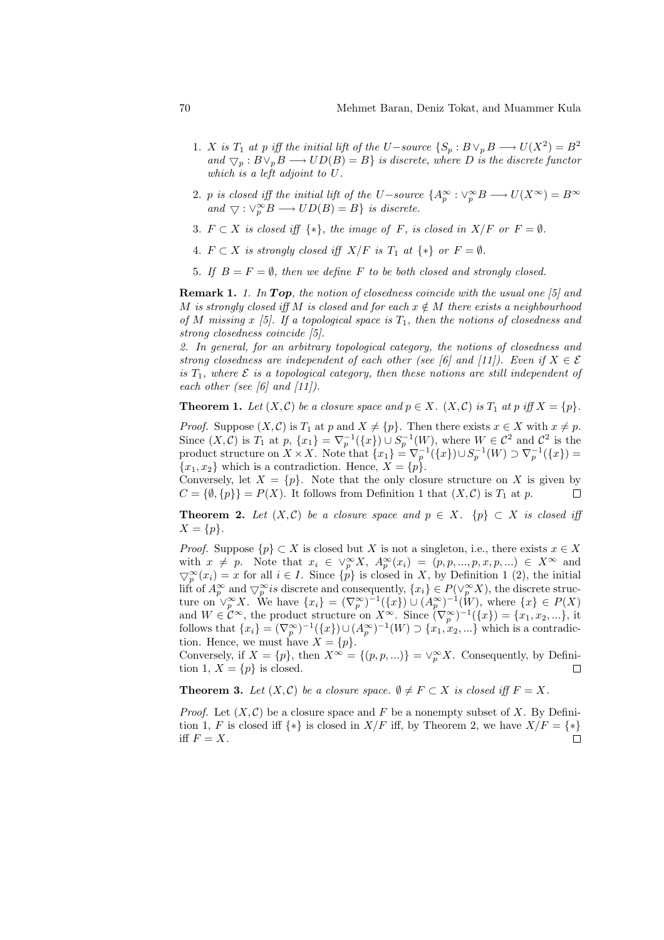- 1. X is  $T_1$  at p iff the initial lift of the U−source  $\{S_p : B \vee_p B \longrightarrow U(X^2) = B^2\}$ and  $\nabla_p : B \vee_p B \longrightarrow UD(B) = B$  is discrete, where D is the discrete functor which is a left adjoint to U.
- 2. p is closed iff the initial lift of the U-source  $\{A_p^{\infty} : \vee_p^{\infty}B \longrightarrow U(X^{\infty}) = B^{\infty}$ and  $\bigtriangledown : \vee_p^{\infty} B \longrightarrow UD(B) = B$  is discrete.
- 3.  $F \subset X$  is closed iff  $\{*\}$ , the image of F, is closed in  $X/F$  or  $F = \emptyset$ .
- 4.  $F \subset X$  is strongly closed iff  $X/F$  is  $T_1$  at  $\{*\}$  or  $F = \emptyset$ .
- 5. If  $B = F = \emptyset$ , then we define F to be both closed and strongly closed.

**Remark 1.** 1. In Top, the notion of closedness coincide with the usual one  $\lceil 5 \rceil$  and M is strongly closed iff M is closed and for each  $x \notin M$  there exists a neighbourhood of M missing x [5]. If a topological space is  $T_1$ , then the notions of closedness and strong closedness coincide [5].

2. In general, for an arbitrary topological category, the notions of closedness and strong closedness are independent of each other (see [6] and [11]). Even if  $X \in \mathcal{E}$ is  $T_1$ , where  $\mathcal E$  is a topological category, then these notions are still independent of each other (see [6] and  $[11]$ ).

**Theorem 1.** Let  $(X, \mathcal{C})$  be a closure space and  $p \in X$ .  $(X, \mathcal{C})$  is  $T_1$  at p iff  $X = \{p\}$ .

*Proof.* Suppose  $(X, \mathcal{C})$  is  $T_1$  at p and  $X \neq \{p\}$ . Then there exists  $x \in X$  with  $x \neq p$ . Since  $(X, \mathcal{C})$  is  $T_1$  at  $p$ ,  $\{x_1\} = \nabla_p^{-1}(\{x\}) \cup S_p^{-1}(W)$ , where  $W \in \mathcal{C}^2$  and  $\mathcal{C}^2$  is the product structure on  $X \times X$ . Note that  $\{x_1\} = \nabla_p^{-1}(\{x\}) \cup S_p^{-1}(W) \supset \nabla_p^{-1}(\{x\}) =$  ${x_1, x_2}$  which is a contradiction. Hence,  $X = {p}.$ 

Conversely, let  $X = \{p\}$ . Note that the only closure structure on X is given by  $C = \{\emptyset, \{p\}\}=P(X)$ . It follows from Definition 1 that  $(X, \mathcal{C})$  is  $T_1$  at p.  $\Box$ 

**Theorem 2.** Let  $(X, \mathcal{C})$  be a closure space and  $p \in X$ .  $\{p\} \subset X$  is closed iff  $X = \{p\}.$ 

*Proof.* Suppose  $\{p\} \subset X$  is closed but X is not a singleton, i.e., there exists  $x \in X$ with  $x \neq p$ . Note that  $x_i \in \vee_p^{\infty} X$ ,  $A_p^{\infty}(x_i) = (p, p, ..., p, x, p, ...) \in X^{\infty}$  and  $\bigtriangledown_{p}^{\infty}(x_i) = x$  for all  $i \in I$ . Since  $\{p\}$  is closed in X, by Definition 1 (2), the initial lift of  $A_p^{\infty}$  and  $\bigtriangledown_p^{\infty}$  is discrete and consequently,  $\{x_i\} \in P(\vee_p^{\infty} X)$ , the discrete structure on  $\vee_p^{\infty} X$ . We have  $\{x_i\} = (\nabla_p^{\infty})^{-1} (\{x\}) \cup (A_p^{\infty})^{-1} (W)$ , where  $\{x\} \in P(X)$ and  $W \in \mathcal{C}^{\infty}$ , the product structure on  $X^{\infty}$ . Since  $(\nabla_p^{\infty})^{-1}(\lbrace x \rbrace) = \lbrace x_1, x_2, ...\rbrace$ , it follows that  $\{x_i\} = (\nabla_p^{\infty})^{-1}(\{x\}) \cup (A_p^{\infty})^{-1}(W) \supset \{x_1, x_2, ...\}$  which is a contradiction. Hence, we must have  $X = \{p\}.$ 

Conversely, if  $X = \{p\}$ , then  $X^{\infty} = \{(p, p, ...) \} = \vee_p^{\infty} X$ . Consequently, by Definition 1,  $X = \{p\}$  is closed.  $\Box$ 

**Theorem 3.** Let  $(X, \mathcal{C})$  be a closure space.  $\emptyset \neq F \subset X$  is closed iff  $F = X$ .

*Proof.* Let  $(X, \mathcal{C})$  be a closure space and F be a nonempty subset of X. By Definition 1, F is closed iff  $\{*\}$  is closed in  $X/F$  iff, by Theorem 2, we have  $X/F = \{*\}$ iff  $F = X$ .  $\Box$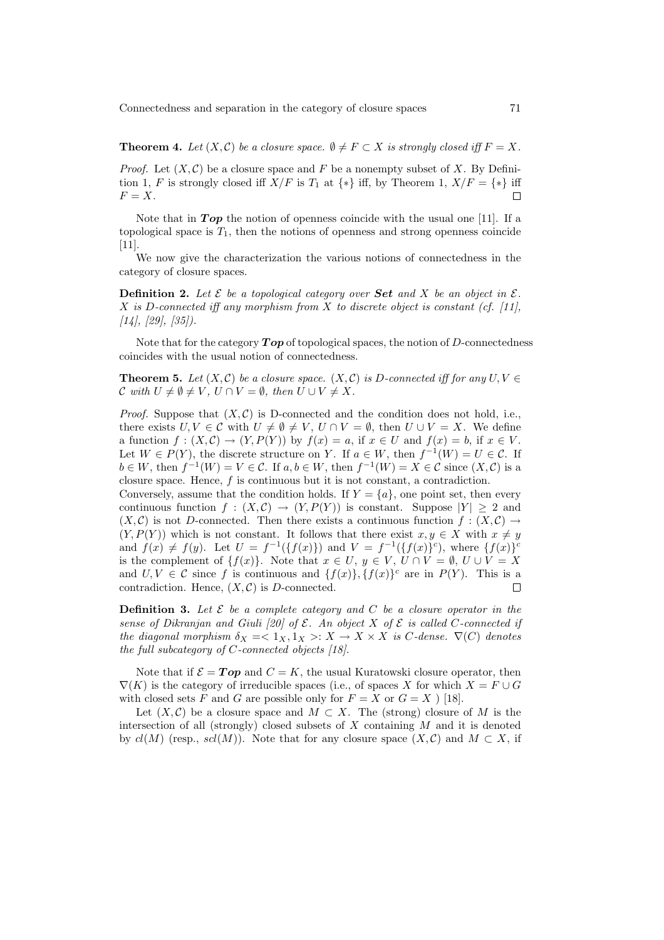**Theorem 4.** Let  $(X, \mathcal{C})$  be a closure space.  $\emptyset \neq F \subset X$  is strongly closed iff  $F = X$ .

*Proof.* Let  $(X, \mathcal{C})$  be a closure space and F be a nonempty subset of X. By Definition 1, F is strongly closed iff  $X/F$  is  $T_1$  at  $\{*\}$  iff, by Theorem 1,  $X/F = \{*\}$  iff  $F = X$ .  $\Box$ 

Note that in  $Top$  the notion of openness coincide with the usual one [11]. If a topological space is  $T_1$ , then the notions of openness and strong openness coincide [11].

We now give the characterization the various notions of connectedness in the category of closure spaces.

**Definition 2.** Let  $\mathcal{E}$  be a topological category over **Set** and X be an object in  $\mathcal{E}$ .  $X$  is D-connected iff any morphism from  $X$  to discrete object is constant (cf. [11],  $[14]$ ,  $[29]$ ,  $[35]$ ).

Note that for the category  $\boldsymbol{Top}$  of topological spaces, the notion of D-connectedness coincides with the usual notion of connectedness.

**Theorem 5.** Let  $(X, \mathcal{C})$  be a closure space.  $(X, \mathcal{C})$  is D-connected iff for any  $U, V \in$ C with  $U \neq \emptyset \neq V$ ,  $U \cap V = \emptyset$ , then  $U \cup V \neq X$ .

*Proof.* Suppose that  $(X, \mathcal{C})$  is D-connected and the condition does not hold, i.e., there exists  $U, V \in \mathcal{C}$  with  $U \neq \emptyset \neq V$ ,  $U \cap V = \emptyset$ , then  $U \cup V = X$ . We define a function  $f : (X, \mathcal{C}) \to (Y, P(Y))$  by  $f(x) = a$ , if  $x \in U$  and  $f(x) = b$ , if  $x \in V$ . Let  $W \in P(Y)$ , the discrete structure on Y. If  $a \in W$ , then  $f^{-1}(W) = U \in \mathcal{C}$ . If  $b \in W$ , then  $f^{-1}(W) = V \in \mathcal{C}$ . If  $a, b \in W$ , then  $f^{-1}(W) = X \in \mathcal{C}$  since  $(X, \mathcal{C})$  is a closure space. Hence,  $f$  is continuous but it is not constant, a contradiction.

Conversely, assume that the condition holds. If  $Y = \{a\}$ , one point set, then every continuous function  $f : (X, \mathcal{C}) \to (Y, P(Y))$  is constant. Suppose  $|Y| > 2$  and  $(X, \mathcal{C})$  is not D-connected. Then there exists a continuous function  $f : (X, \mathcal{C}) \to$  $(Y, P(Y))$  which is not constant. It follows that there exist  $x, y \in X$  with  $x \neq y$ and  $f(x) \neq f(y)$ . Let  $U = f^{-1}(\{f(x)\})$  and  $V = f^{-1}(\{f(x)\}^c)$ , where  $\{f(x)\}^c$ is the complement of  $\{f(x)\}\)$ . Note that  $x \in U$ ,  $y \in V$ ,  $U \cap V = \emptyset$ ,  $U \cup V = X$ and  $U, V \in \mathcal{C}$  since f is continuous and  $\{f(x)\}, \{f(x)\}^c$  are in  $P(Y)$ . This is a contradiction. Hence,  $(X, \mathcal{C})$  is D-connected.  $\Box$ 

**Definition 3.** Let  $\mathcal{E}$  be a complete category and  $C$  be a closure operator in the sense of Dikranjan and Giuli [20] of  $\mathcal E$ . An object X of  $\mathcal E$  is called C-connected if the diagonal morphism  $\delta_X = \langle 1_X, 1_X \rangle : X \to X \times X$  is C-dense.  $\nabla(C)$  denotes the full subcategory of  $C$ -connected objects  $[18]$ .

Note that if  $\mathcal{E} = Top$  and  $C = K$ , the usual Kuratowski closure operator, then  $\nabla(K)$  is the category of irreducible spaces (i.e., of spaces X for which  $X = F \cup G$ with closed sets F and G are possible only for  $F = X$  or  $G = X$  ) [18].

Let  $(X, \mathcal{C})$  be a closure space and  $M \subset X$ . The (strong) closure of M is the intersection of all (strongly) closed subsets of  $X$  containing  $M$  and it is denoted by  $cl(M)$  (resp.,  $sel(M)$ ). Note that for any closure space  $(X, \mathcal{C})$  and  $M \subset X$ , if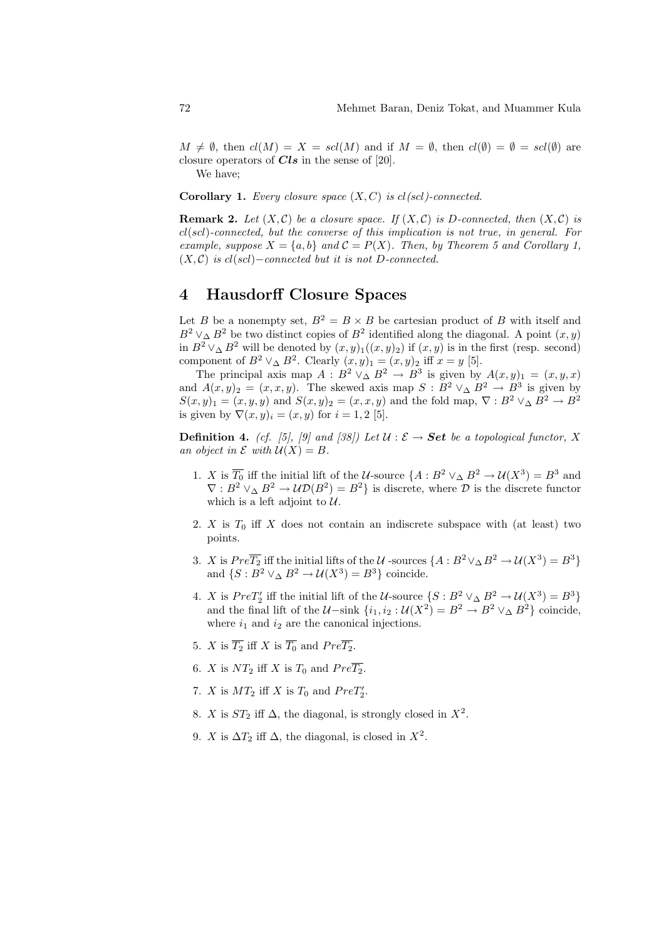$M \neq \emptyset$ , then  $cl(M) = X = scl(M)$  and if  $M = \emptyset$ , then  $cl(\emptyset) = \emptyset = scl(\emptyset)$  are closure operators of  $Cls$  in the sense of [20].

We have;

**Corollary 1.** Every closure space  $(X, C)$  is cl(scl)-connected.

**Remark 2.** Let  $(X, \mathcal{C})$  be a closure space. If  $(X, \mathcal{C})$  is D-connected, then  $(X, \mathcal{C})$  is  $cl(scl)$ -connected, but the converse of this implication is not true, in general. For example, suppose  $X = \{a, b\}$  and  $C = P(X)$ . Then, by Theorem 5 and Corollary 1,  $(X, \mathcal{C})$  is cl(scl)–connected but it is not D-connected.

# 4 Hausdorff Closure Spaces

Let B be a nonempty set,  $B^2 = B \times B$  be cartesian product of B with itself and  $B^2 \vee_{\Delta} B^2$  be two distinct copies of  $B^2$  identified along the diagonal. A point  $(x, y)$ in  $B^2 \vee_{\Delta} B^2$  will be denoted by  $(x, y)_1((x, y)_2)$  if  $(x, y)$  is in the first (resp. second) component of  $B^2 \vee_{\Delta} B^2$ . Clearly  $(x, y)_1 = (x, y)_2$  iff  $x = y$  [5].

The principal axis map  $A : B^2 \vee \Delta B^2 \to B^3$  is given by  $A(x, y)_1 = (x, y, x)$ and  $A(x,y)_2 = (x,x,y)$ . The skewed axis map  $S : B^2 \vee \Delta B^2 \to B^3$  is given by  $S(x, y)_1 = (x, y, y)$  and  $S(x, y)_2 = (x, x, y)$  and the fold map,  $\nabla : B^2 \vee \Delta B^2 \to B^2$ is given by  $\nabla(x,y)_i = (x, y)$  for  $i = 1, 2$  [5].

**Definition 4.** (cf. [5], [9] and [38]) Let  $\mathcal{U}: \mathcal{E} \to \mathbf{Set}$  be a topological functor, X an object in  $\mathcal E$  with  $\mathcal U(X) = B$ .

- 1. X is  $\overline{T_0}$  iff the initial lift of the U-source  $\{A : B^2 \vee_A B^2 \to \mathcal{U}(X^3) = B^3 \text{ and }$  $\nabla : B^2 \vee \Delta B^2 \to \mathcal{UD}(B^2) = B^2$  is discrete, where  $\mathcal D$  is the discrete functor which is a left adjoint to  $U$ .
- 2. X is  $T_0$  iff X does not contain an indiscrete subspace with (at least) two points.
- 3. X is  $Pre\overline{T_2}$  iff the initial lifts of the U -sources  $\{A : B^2 \vee_{\Delta} B^2 \to \mathcal{U}(X^3) = B^3\}$ and  $\{S: B^2 \vee \Delta B^2 \to \mathcal{U}(X^3) = B^3\}$  coincide.
- 4. X is  $PreT'_{2}$  iff the initial lift of the U-source  $\{S: B^{2} \vee \Delta B^{2} \to \mathcal{U}(X^{3}) = B^{3}\}\$ and the final lift of the  $\mathcal{U}-\sinh\left\{i_1, i_2 : \mathcal{U}(X^2) = B^2 \to B^2 \vee_{\Delta} B^2\right\}$  coincide, where  $i_1$  and  $i_2$  are the canonical injections.
- 5. X is  $\overline{T_2}$  iff X is  $\overline{T_0}$  and  $Pre\overline{T_2}$ .
- 6. X is  $NT_2$  iff X is  $T_0$  and  $Pre\overline{T_2}$ .
- 7. X is  $MT_2$  iff X is  $T_0$  and  $PreT'_2$ .
- 8. X is  $ST_2$  iff  $\Delta$ , the diagonal, is strongly closed in  $X^2$ .
- 9. X is  $\Delta T_2$  iff  $\Delta$ , the diagonal, is closed in  $X^2$ .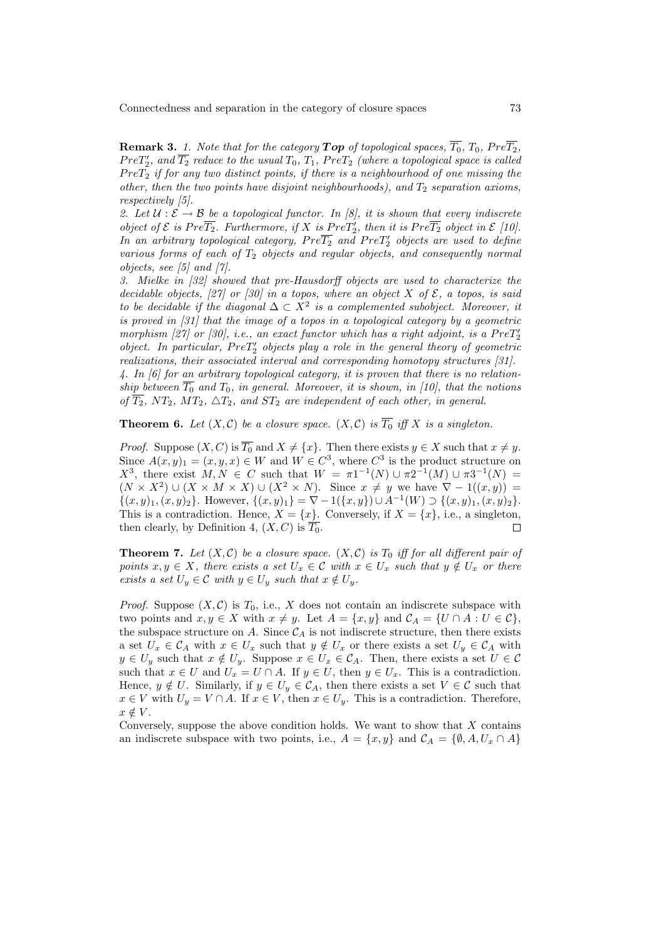**Remark 3.** 1. Note that for the category **Top** of topological spaces,  $\overline{T_0}$ ,  $T_0$ ,  $Pre\overline{T_2}$ ,  $PreT_{2}^{\prime },$  and  $\overline{T_{2}}$  reduce to the usual  $T_{0},$   $T_{1},$   $PreT_{2}$  (where a topological space is called  $PreT<sub>2</sub>$  if for any two distinct points, if there is a neighbourhood of one missing the other, then the two points have disjoint neighbourhoods), and  $T_2$  separation axioms, respectively [5].

2. Let  $U : \mathcal{E} \to \mathcal{B}$  be a topological functor. In [8], it is shown that every indiscrete object of  $\mathcal E$  is  $Pre \overline{T_2}$ . Furthermore, if  $X$  is  $Pre T_2'$ , then it is  $Pre \overline{T_2}$  object in  $\mathcal E$  [10]. In an arbitrary topological category,  $Pre \overline{T_2}$  and  $Pre T_2'$  objects are used to define various forms of each of  $T_2$  objects and regular objects, and consequently normal objects, see [5] and [7].

3. Mielke in [32] showed that pre-Hausdorff objects are used to characterize the decidable objects, [27] or [30] in a topos, where an object X of  $\mathcal E$ , a topos, is said to be decidable if the diagonal  $\Delta \subset X^2$  is a complemented subobject. Moreover, it is proved in [31] that the image of a topos in a topological category by a geometric morphism [27] or [30], i.e., an exact functor which has a right adjoint, is a  $PreT_2'$ object. In particular,  $PreT'_{2}$  objects play a role in the general theory of geometric realizations, their associated interval and corresponding homotopy structures [31].

4. In [6] for an arbitrary topological category, it is proven that there is no relationship between  $\overline{T_0}$  and  $T_0$ , in general. Moreover, it is shown, in [10], that the notions of  $\overline{T_2}$ , N $T_2$ , M $T_2$ ,  $\Delta T_2$ , and S $T_2$  are independent of each other, in general.

**Theorem 6.** Let  $(X, \mathcal{C})$  be a closure space.  $(X, \mathcal{C})$  is  $\overline{T_0}$  iff X is a singleton.

*Proof.* Suppose  $(X, C)$  is  $\overline{T_0}$  and  $X \neq \{x\}$ . Then there exists  $y \in X$  such that  $x \neq y$ . Since  $A(x, y)_1 = (x, y, x) \in W$  and  $W \in C^3$ , where  $C^3$  is the product structure on  $X^3$ , there exist  $M, N \text{ ∈ } C$  such that  $W = π1^{-1}(N) ∪ π2^{-1}(M) ∪ π3^{-1}(N)$  $(N \times X^2) \cup (X \times M \times X) \cup (X^2 \times N)$ . Since  $x \neq y$  we have  $\nabla - 1((x, y)) =$  $\{(x,y)_1,(x,y)_2\}.$  However,  $\{(x,y)_1\} = \nabla - 1(\{x,y\}) \cup A^{-1}(W) \supset \{(x,y)_1,(x,y)_2\}.$ This is a contradiction. Hence,  $X = \{x\}$ . Conversely, if  $X = \{x\}$ , i.e., a singleton, then clearly, by Definition 4,  $(X, C)$  is  $T_0$ .  $\Box$ 

**Theorem 7.** Let  $(X, \mathcal{C})$  be a closure space.  $(X, \mathcal{C})$  is  $T_0$  iff for all different pair of points  $x, y \in X$ , there exists a set  $U_x \in \mathcal{C}$  with  $x \in U_x$  such that  $y \notin U_x$  or there exists a set  $U_y \in \mathcal{C}$  with  $y \in U_y$  such that  $x \notin U_y$ .

*Proof.* Suppose  $(X, \mathcal{C})$  is  $T_0$ , i.e., X does not contain an indiscrete subspace with two points and  $x, y \in X$  with  $x \neq y$ . Let  $A = \{x, y\}$  and  $C_A = \{U \cap A : U \in C\}$ , the subspace structure on A. Since  $\mathcal{C}_A$  is not indiscrete structure, then there exists a set  $U_x \in \mathcal{C}_A$  with  $x \in U_x$  such that  $y \notin U_x$  or there exists a set  $U_y \in \mathcal{C}_A$  with  $y \in U_y$  such that  $x \notin U_y$ . Suppose  $x \in U_x \in \mathcal{C}_A$ . Then, there exists a set  $U \in \mathcal{C}$ such that  $x \in U$  and  $U_x = U \cap A$ . If  $y \in U$ , then  $y \in U_x$ . This is a contradiction. Hence,  $y \notin U$ . Similarly, if  $y \in U_y \in \mathcal{C}_A$ , then there exists a set  $V \in \mathcal{C}$  such that  $x \in V$  with  $U_y = V \cap A$ . If  $x \in V$ , then  $x \in U_y$ . This is a contradiction. Therefore,  $x \notin V$ .

Conversely, suppose the above condition holds. We want to show that  $X$  contains an indiscrete subspace with two points, i.e.,  $A = \{x, y\}$  and  $C_A = \{\emptyset, A, U_x \cap A\}$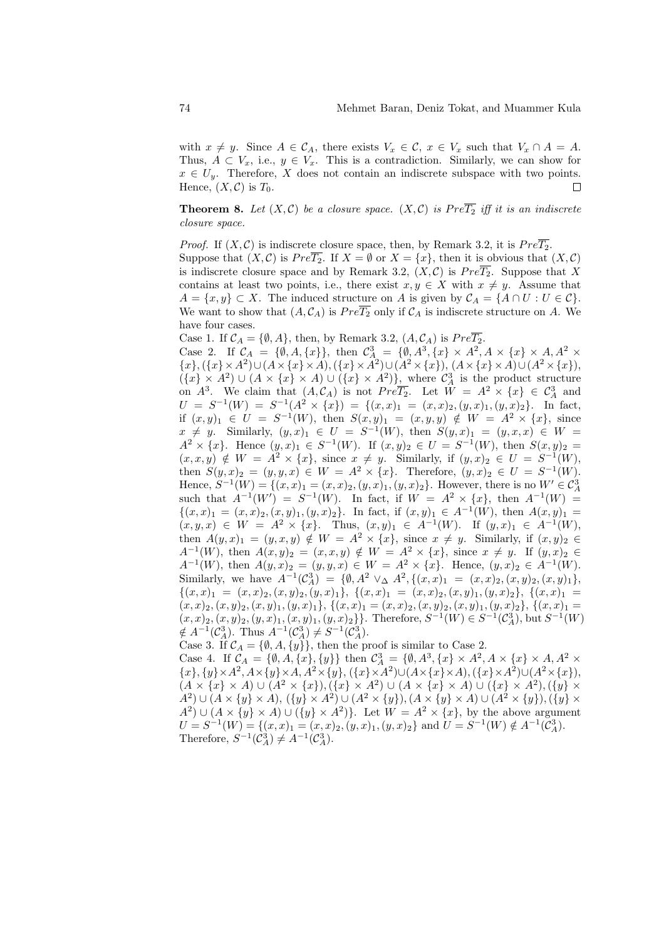with  $x \neq y$ . Since  $A \in \mathcal{C}_A$ , there exists  $V_x \in \mathcal{C}$ ,  $x \in V_x$  such that  $V_x \cap A = A$ . Thus,  $A \subset V_x$ , i.e.,  $y \in V_x$ . This is a contradiction. Similarly, we can show for  $x \in U_y$ . Therefore, X does not contain an indiscrete subspace with two points. Hence,  $(X, \mathcal{C})$  is  $T_0$ .  $\Box$ 

**Theorem 8.** Let  $(X, \mathcal{C})$  be a closure space.  $(X, \mathcal{C})$  is  $Pre\overline{T_2}$  iff it is an indiscrete closure space.

*Proof.* If  $(X, \mathcal{C})$  is indiscrete closure space, then, by Remark 3.2, it is  $Pre\overline{T_2}$ . Suppose that  $(X, \mathcal{C})$  is  $Pre\overline{T_2}$ . If  $X = \emptyset$  or  $X = \{x\}$ , then it is obvious that  $(X, \mathcal{C})$ is indiscrete closure space and by Remark 3.2,  $(X, \mathcal{C})$  is  $Pre\overline{T_2}$ . Suppose that X contains at least two points, i.e., there exist  $x, y \in X$  with  $x \neq y$ . Assume that  $A = \{x, y\} \subset X$ . The induced structure on A is given by  $C_A = \{A \cap U : U \in C\}$ . We want to show that  $(A, \mathcal{C}_A)$  is  $Pre \overline{T_2}$  only if  $\mathcal{C}_A$  is indiscrete structure on A. We have four cases.

Case 1. If  $C_A = \{\emptyset, A\}$ , then, by Remark 3.2,  $(A, C_A)$  is  $Pre\overline{T_2}$ .

Case 2. If  $C_A = \{\emptyset, A, \{x\}\},\$  then  $C_A^3 = \{\emptyset, A^3, \{x\} \times A^2, A \times \{x\} \times A, A^2 \times A\}$  ${x},({x} \times A^2) \cup (A \times {x} \times A),({x} \times A^2) \cup (A^2 \times {x}), (A \times {x} \times A) \cup (A^2 \times {x}),$  $({x} \times A^2) \cup (A \times {x} \times A) \cup ({x} \times A^2)$ , where  $C_A^3$  is the product structure on  $A^3$ . We claim that  $(A, \mathcal{C}_A)$  is not  $Pre\overline{T_2}$ . Let  $W = A^2 \times \{x\} \in \mathcal{C}_A^3$  and  $U = S^{-1}(W) = S^{-1}(A^2 \times \{x\}) = \{(x, x)_1 = (x, x)_2, (y, x)_1, (y, x)_2\}.$  In fact, if  $(x, y)_1 \in U = S^{-1}(W)$ , then  $S(x, y)_1 = (x, y, y) \notin W = A^2 \times \{x\}$ , since  $x \neq y$ . Similarly,  $(y, x)_1 \in U = S^{-1}(W)$ , then  $S(y, x)_1 = (y, x, x) \in W$  $A^2 \times \{x\}$ . Hence  $(y, x)_1 \in S^{-1}(W)$ . If  $(x, y)_2 \in U = S^{-1}(W)$ , then  $S(x, y)_2 =$  $(x, x, y) \notin W = A^2 \times \{x\}$ , since  $x \neq y$ . Similarly, if  $(y, x)_2 \in U = S^{-1}(W)$ , then  $S(y,x)_2 = (y, y, x) \in W = A^2 \times \{x\}$ . Therefore,  $(y, x)_2 \in U = S^{-1}(W)$ . Hence,  $S^{-1}(W) = \{(x, x)_1 = (x, x)_2, (y, x)_1, (y, x)_2\}$ . However, there is no  $W' \in C_A^3$ such that  $A^{-1}(W') = S^{-1}(W)$ . In fact, if  $W = A^2 \times \{x\}$ , then  $A^{-1}(W) =$  $\{(x,x)_1 = (x,x)_2, (x,y)_1, (y,x)_2\}.$  In fact, if  $(x,y)_1 \in A^{-1}(W)$ , then  $A(x,y)_1 =$  $(x, y, x) \in W = A^2 \times \{x\}.$  Thus,  $(x, y)_1 \in A^{-1}(W)$ . If  $(y, x)_1 \in A^{-1}(W)$ , then  $A(y, x)_1 = (y, x, y) \notin W = A^2 \times \{x\}$ , since  $x \neq y$ . Similarly, if  $(x, y)_2 \in$  $A^{-1}(W)$ , then  $A(x,y)_2 = (x,x,y) \notin W = A^2 \times \{x\}$ , since  $x \neq y$ . If  $(y,x)_2 \in$  $A^{-1}(W)$ , then  $A(y,x)_2 = (y, y, x) \in W = A^2 \times \{x\}$ . Hence,  $(y, x)_2 \in A^{-1}(W)$ . Similarly, we have  $A^{-1}(\mathcal{C}_A^3) = \{ \emptyset, A^2 \vee_{\Delta} A^2, \{(x,x)_1 = (x,x)_2, (x,y)_2, (x,y)_1 \},\}$  ${(x, x)_1 = (x, x)_2, (x, y)_2, (y, x)_1}, {(x, x)_1 = (x, x)_2, (x, y)_1, (y, x)_2}, {(x, x)_1 = (x, x)_2, (x, y)_2}$  $(x, x)_2, (x, y)_2, (x, y)_1, (y, x)_1$ ,  $\{(x, x)_1 = (x, x)_2, (x, y)_2, (x, y)_1, (y, x)_2\}$ ,  $\{(x, x)_1 = (x, x)_2, (x, y)_2, (x, y)_2, (x, y)_2, (x, y)_2, (x, y)_2, (x, y)_2, (x, y)_2, (x, y)_2, (x, y)_2, (x, y)_2, (x, y)_2, (x, y)_2, (x, y)_2, (x, y)_2, (x, y)_2, (x, y)_2, (x, y)_2, (x, y)_2, (x, y)_2, ($  $(x, x)_2, (x, y)_2, (y, x)_1, (x, y)_1, (y, x)_2\}$ . Therefore,  $S^{-1}(W) \in S^{-1}(\mathcal{C}_A^3)$ , but  $S^{-1}(W)$  $\notin A^{-1}(\mathcal{C}_A^3)$ . Thus  $A^{-1}(\mathcal{C}_A^3) \neq S^{-1}(\mathcal{C}_A^3)$ .

Case 3. If  $C_A = \{\emptyset, A, \{y\}\}\$ , then the proof is similar to Case 2. Case 4. If  $C_A = \{\emptyset, A, \{x\}, \{y\}\}\$  then  $C_A^3 = \{\emptyset, A^3, \{x\} \times A^2, A \times \{x\} \times A, A^2 \times A\}$  ${x}$ ,  ${y} \times A^2$ ,  $A \times {y} \times A$ ,  $A^2 \times {y}$ ,  $({x} \times A^2) \cup (A \times {x} \times A)$ ,  $({x} \times A^2) \cup (A^2 \times {x})$ ,  $(A \times \{x\} \times A) \cup (A^2 \times \{x\}), (\{x\} \times A^2) \cup (A \times \{x\} \times A) \cup (\{x\} \times A^2), (\{y\} \times A^2)$  $A^2$ ) ∪ ( $A \times \{y\} \times A$ ),  $(\{y\} \times A^2)$  ∪ ( $A^2 \times \{y\}$ ), ( $A \times \{y\} \times A$ ) ∪ ( $A^2 \times \{y\}$ ), ( $\{y\} \times A$ )  $A^2$ )  $\cup$   $(A \times \{y\} \times A)$   $\cup$   $(\{y\} \times A^2)$ . Let  $W = A^2 \times \{x\}$ , by the above argument  $U = S^{-1}(W) = \{(x, x)_1 = (x, x)_2, (y, x)_1, (y, x)_2\}$  and  $U = S^{-1}(W) \notin A^{-1}(\mathcal{C}_A^3)$ .

Therefore,  $S^{-1}(\mathcal{C}_A^3) \neq A^{-1}(\mathcal{C}_A^3)$ .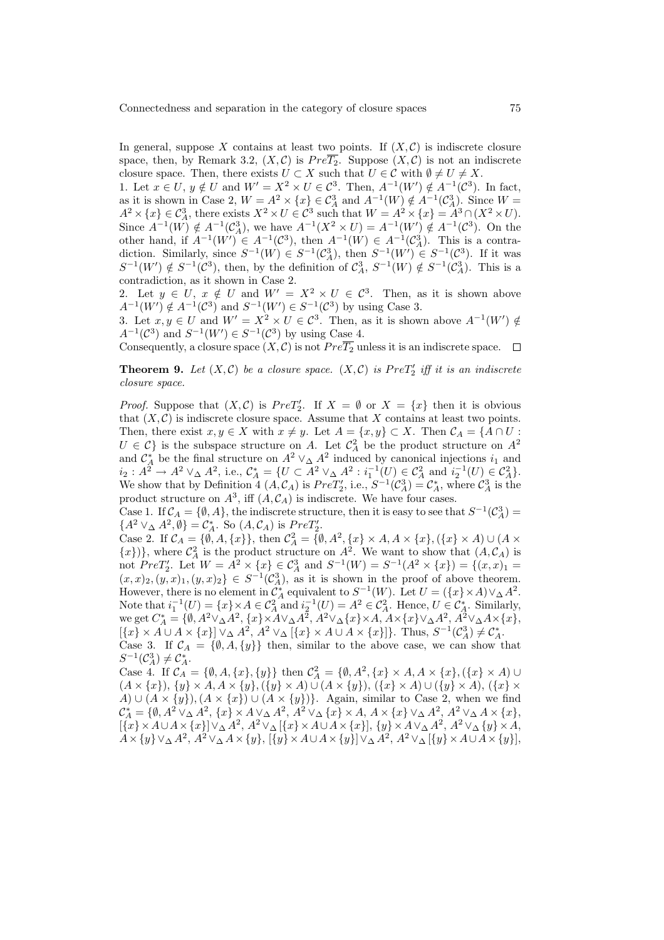In general, suppose X contains at least two points. If  $(X, \mathcal{C})$  is indiscrete closure space, then, by Remark 3.2,  $(X, \mathcal{C})$  is  $Pre\overline{T_2}$ . Suppose  $(X, \mathcal{C})$  is not an indiscrete closure space. Then, there exists  $U \subset X$  such that  $U \in \mathcal{C}$  with  $\emptyset \neq U \neq X$ .

1. Let  $x \in U$ ,  $y \notin U$  and  $W' = X^2 \times U \in C^3$ . Then,  $A^{-1}(W') \notin A^{-1}(C^3)$ . In fact, as it is shown in Case 2,  $W = A^2 \times \{x\} \in C_A^3$  and  $A^{-1}(W) \notin A^{-1}(C_A^3)$ . Since  $W =$  $A^2 \times \{x\} \in C^3_A$ , there exists  $X^2 \times U \in C^3$  such that  $W = A^2 \times \{x\} = A^3 \cap (X^2 \times U)$ . Since  $A^{-1}(W) \notin A^{-1}(\mathcal{C}_A^3)$ , we have  $A^{-1}(X^2 \times U) = A^{-1}(W') \notin A^{-1}(\mathcal{C}^3)$ . On the other hand, if  $A^{-1}(W') \in A^{-1}(\mathcal{C}^3)$ , then  $A^{-1}(W) \in A^{-1}(\mathcal{C}^3_A)$ . This is a contradiction. Similarly, since  $S^{-1}(W) \in S^{-1}(\mathcal{C}^3_A)$ , then  $S^{-1}(W') \in S^{-1}(\mathcal{C}^3)$ . If it was  $S^{-1}(W') \notin S^{-1}(\mathcal{C}^3)$ , then, by the definition of  $\mathcal{C}^3_A$ ,  $S^{-1}(W) \notin S^{-1}(\mathcal{C}^3_A)$ . This is a contradiction, as it shown in Case 2.

2. Let  $y \in U$ ,  $x \notin U$  and  $W' = X^2 \times U \in C^3$ . Then, as it is shown above  $A^{-1}(W') \notin A^{-1}(\mathcal{C}^3)$  and  $S^{-1}(W') \in S^{-1}(\mathcal{C}^3)$  by using Case 3.

3. Let  $x, y \in U$  and  $W' = X^2 \times U \in \mathcal{C}^3$ . Then, as it is shown above  $A^{-1}(W') \notin$  $A^{-1}(\mathcal{C}^3)$  and  $S^{-1}(W') \in S^{-1}(\mathcal{C}^3)$  by using Case 4.

Consequently, a closure space  $(X, \mathcal{C})$  is not  $Pre\overline{T_2}$  unless it is an indiscrete space.  $\Box$ 

**Theorem 9.** Let  $(X, \mathcal{C})$  be a closure space.  $(X, \mathcal{C})$  is  $PreT'_{2}$  iff it is an indiscrete closure space.

*Proof.* Suppose that  $(X, C)$  is  $PreT'_{2}$ . If  $X = \emptyset$  or  $X = \{x\}$  then it is obvious that  $(X, \mathcal{C})$  is indiscrete closure space. Assume that X contains at least two points. Then, there exist  $x, y \in X$  with  $x \neq y$ . Let  $A = \{x, y\} \subset X$ . Then  $C_A = \{A \cap U$ :  $U \in \mathcal{C}$  is the subspace structure on A. Let  $\mathcal{C}_A^2$  be the product structure on  $A^2$ and  $\mathcal{C}_A^*$  be the final structure on  $A^2 \vee_A A^2$  induced by canonical injections  $i_1$  and  $i_2: A^2 \to A^2 \vee_{\Delta} A^2$ , i.e.,  $\mathcal{C}_A^* = \{U \subset A^2 \vee_{\Delta} A^2 : i_1^{-1}(U) \in \mathcal{C}_A^2 \text{ and } i_2^{-1}(U) \in \mathcal{C}_A^2\}.$ We show that by Definition 4  $(A, \mathcal{C}_A)$  is  $PreT'_2$ , i.e.,  $S^{-1}(\mathcal{C}^3_A) = \mathcal{C}^*_A$ , where  $\mathcal{C}^3_A$  is the product structure on  $A^3$ , iff  $(A, \mathcal{C}_A)$  is indiscrete. We have four cases.

Case 1. If  $\mathcal{C}_A = \{\emptyset, A\}$ , the indiscrete structure, then it is easy to see that  $S^{-1}(\mathcal{C}_A^3)$  ${A^2 \vee_{\Delta} A^2, \emptyset} = \mathcal{C}_{A}^*$ . So  $(A, \mathcal{C}_{A})$  is  $PreT'_2$ .

Case 2. If  $C_A = \{\emptyset, A, \{x\}\}\,$ , then  $C_A^2 = \{\emptyset, A^2, \{x\} \times A, A \times \{x\}, (\{x\} \times A) \cup (A \times A)\}$  $\{x\}\}\,$ , where  $\mathcal{C}_A^2$  is the product structure on  $A^2$ . We want to show that  $(A, \mathcal{C}_A)$  is not  $PreT_2'$ . Let  $W = A^2 \times \{x\} \in C_A^3$  and  $S^{-1}(W) = S^{-1}(A^2 \times \{x\}) = \{(x, x)_1 =$  $(x, x)_2, (y, x)_1, (y, x)_2\} \in S^{-1}(\mathcal{C}_A^3)$ , as it is shown in the proof of above theorem. However, there is no element in  $\mathcal{C}_A^*$  equivalent to  $S^{-1}(W)$ . Let  $U = (\{x\} \times A) \vee_{\Delta} A^2$ . Note that  $i_1^{-1}(U) = \{x\} \times A \in C_A^2$  and  $i_2^{-1}(U) = A^2 \in C_A^2$ . Hence,  $U \in C_A^*$ . Similarly, we get  $C_A^* = \{ \emptyset, A^2 \vee_{\Delta} A^2, \{x\} \times A \vee_{\Delta} A^2, A^2 \vee_{\Delta} \{x\} \times A, A \times \{x\} \vee_{\Delta} A^2, A^2 \vee_{\Delta} A \times \{x\},$  $\left[\{x\} \times A \cup A \times \{x\}\right] \vee_{\Delta} A^2, A^2 \vee_{\Delta} [\{x\} \times A \cup A \times \{x\}]\}.$  Thus,  $S^{-1}(\mathcal{C}_{A}^3) \neq \mathcal{C}_{A}^*$ .

Case 3. If  $C_A = \{\emptyset, A, \{y\}\}\$  then, similar to the above case, we can show that  $S^{-1}(\mathcal{C}_A^3) \neq \mathcal{C}_A^*$ .

Case 4. If  $C_A = \{\emptyset, A, \{x\}, \{y\}\}\$ then  $C_A^2 = \{\emptyset, A^2, \{x\} \times A, A \times \{x\}, (\{x\} \times A) \cup$  $(A \times \{x\}), \{y\} \times A, A \times \{y\}, (\{y\} \times A) \cup (A \times \{y\}), (\{x\} \times A) \cup (\{y\} \times A), (\{x\} \times A)$ A) ∪  $(A \times \{y\}), (A \times \{x\})$  ∪  $(A \times \{y\})$ . Again, similar to Case 2, when we find  $\mathcal{C}_A^* = \{ \emptyset, A^2 \vee_{\Delta} A^2, \{x\} \times A \vee_{\Delta} A^2, A^2 \vee_{\Delta} \{x\} \times A, A \times \{x\} \vee_{\Delta} A^2, A^2 \vee_{\Delta} A \times \{x\},\$  $[{x} \times A \cup A \times {x}] \vee_{\Delta} A^2, A^2 \vee_{\Delta} [{x} \times A \cup A \times {x}], {y} \times A \vee_{\Delta} A^2, A^2 \vee_{\Delta} {y} \times A,$  $A \times \{y\} \vee_{\Delta} A^2, A^2 \vee_{\Delta} A \times \{y\}, [\{y\} \times A \cup A \times \{y\}] \vee_{\Delta} A^2, A^2 \vee_{\Delta} [\{y\} \times A \cup A \times \{y\}],$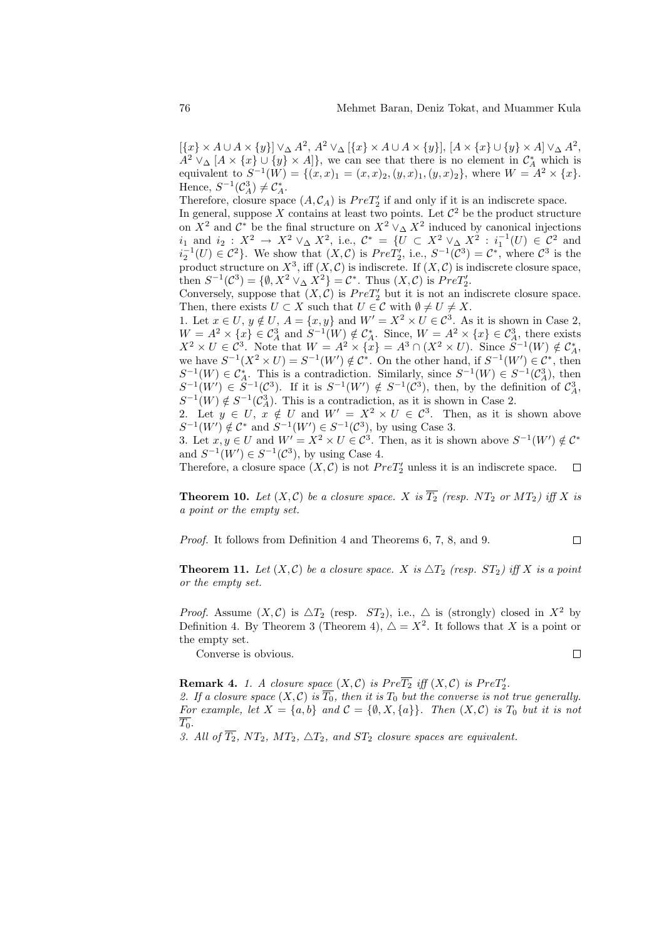$[\{x\}\times A\cup A\times\{y\}]\vee_{\Delta}A^2, A^2\vee_{\Delta}[\{x\}\times A\cup A\times\{y\}], [A\times\{x\}\cup\{y\}\times A]\vee_{\Delta}A^2,$  $A^2 \vee_{\Delta} [A \times \{x\} \cup \{y\} \times A]\},$  we can see that there is no element in  $\mathcal{C}_A^*$  which is equivalent to  $S^{-1}(W) = \{(x,x)_1 = (x,x)_2, (y,x)_1, (y,x)_2\}$ , where  $W = A^2 \times \{x\}$ . Hence,  $S^{-1}(\mathcal{C}_A^3) \neq \mathcal{C}_A^*$ .

Therefore, closure space  $(A, \mathcal{C}_A)$  is  $PreT'_2$  if and only if it is an indiscrete space. In general, suppose X contains at least two points. Let  $\mathcal{C}^2$  be the product structure on  $X^2$  and  $\mathcal{C}^*$  be the final structure on  $X^2 \vee_{\Delta} X^2$  induced by canonical injections *i*<sub>1</sub> and *i*<sub>2</sub> :  $X^2$  →  $X^2 \vee_{\Delta} X^2$ , i.e.,  $C^* = \{U \subset X^2 \vee_{\Delta} X^2 : i_1^{-1}(U) \in C^2 \text{ and }$  $i_2^{-1}(U) \in \mathcal{C}^2$ . We show that  $(X,\mathcal{C})$  is  $Pre\dot{T}'_2$ , i.e.,  $S^{-1}(\mathcal{C}^3) = \mathcal{C}^*$ , where  $\mathcal{C}^3$  is the product structure on  $X^3$ , iff  $(X, \mathcal{C})$  is indiscrete. If  $(X, \mathcal{C})$  is indiscrete closure space, then  $S^{-1}(\mathcal{C}^3) = \{ \emptyset, X^2 \vee_{\Delta} X^2 \} = \mathcal{C}^*$ . Thus  $(X, \mathcal{C})$  is  $PreT'_2$ .

Conversely, suppose that  $(X, \mathcal{C})$  is  $PreT'_{2}$  but it is not an indiscrete closure space. Then, there exists  $U \subset X$  such that  $U \in \mathcal{C}$  with  $\emptyset \neq U \neq X$ .

1. Let  $x \in U$ ,  $y \notin U$ ,  $A = \{x, y\}$  and  $W' = X^2 \times U \in \mathcal{C}^3$ . As it is shown in Case 2,  $W = A^2 \times \{x\} \in C_A^3$  and  $S^{-1}(W) \notin C_A^*$ . Since,  $W = A^2 \times \{x\} \in C_A^3$ , there exists  $X^2 \times U \in \mathcal{C}^3$ . Note that  $W = A^2 \times {\overline{x}} = A^3 \cap (X^2 \times U)$ . Since  $S^{-1}(W) \notin \mathcal{C}_A^*$ , we have  $S^{-1}(X^2 \times U) = S^{-1}(W') \notin \mathcal{C}^*$ . On the other hand, if  $S^{-1}(W') \in \mathcal{C}^*$ , then  $S^{-1}(W) \in C_A^*$ . This is a contradiction. Similarly, since  $S^{-1}(W) \in S^{-1}(C_A^3)$ , then  $S^{-1}(W') \in S^{-1}(\mathcal{C}^3)$ . If it is  $S^{-1}(W') \notin S^{-1}(\mathcal{C}^3)$ , then, by the definition of  $\mathcal{C}^3_A$ ,  $S^{-1}(W) \notin S^{-1}(\mathcal{C}_{A}^{3})$ . This is a contradiction, as it is shown in Case 2.

2. Let  $y \in U$ ,  $x \notin U$  and  $W' = X^2 \times U \in C^3$ . Then, as it is shown above  $S^{-1}(W') \notin \mathcal{C}^*$  and  $S^{-1}(W') \in S^{-1}(\mathcal{C}^3)$ , by using Case 3.

3. Let  $x, y \in U$  and  $W' = X^2 \times U \in \mathcal{C}^3$ . Then, as it is shown above  $S^{-1}(W') \notin \mathcal{C}^*$ and  $S^{-1}(W') \in S^{-1}(\mathcal{C}^3)$ , by using Case 4.

Therefore, a closure space  $(X, \mathcal{C})$  is not  $PreT'_{2}$  unless it is an indiscrete space.  $\Box$ 

**Theorem 10.** Let  $(X, \mathcal{C})$  be a closure space. X is  $\overline{T_2}$  (resp. NT<sub>2</sub> or MT<sub>2</sub>) iff X is a point or the empty set.

Proof. It follows from Definition 4 and Theorems 6, 7, 8, and 9.

**Theorem 11.** Let  $(X, \mathcal{C})$  be a closure space. X is  $\Delta T_2$  (resp.  $ST_2$ ) iff X is a point or the empty set.

 $\Box$ 

*Proof.* Assume  $(X, \mathcal{C})$  is  $\Delta T_2$  (resp.  $ST_2$ ), i.e.,  $\Delta$  is (strongly) closed in  $X^2$  by Definition 4. By Theorem 3 (Theorem 4),  $\Delta = X^2$ . It follows that X is a point or the empty set.  $\Box$ 

Converse is obvious.

**Remark 4.** 1. A closure space  $(X, \mathcal{C})$  is  $Pre\overline{T_2}$  iff  $(X, \mathcal{C})$  is  $PreT'_2$ . 2. If a closure space  $(X, \mathcal{C})$  is  $\overline{T_0}$ , then it is  $T_0$  but the converse is not true generally. For example, let  $X = \{a, b\}$  and  $C = \{\emptyset, X, \{a\}\}\$ . Then  $(X, C)$  is  $T_0$  but it is not  $\overline{T_0}$ .

3. All of  $\overline{T_2}$ , NT<sub>2</sub>, MT<sub>2</sub>,  $\Delta T_2$ , and ST<sub>2</sub> closure spaces are equivalent.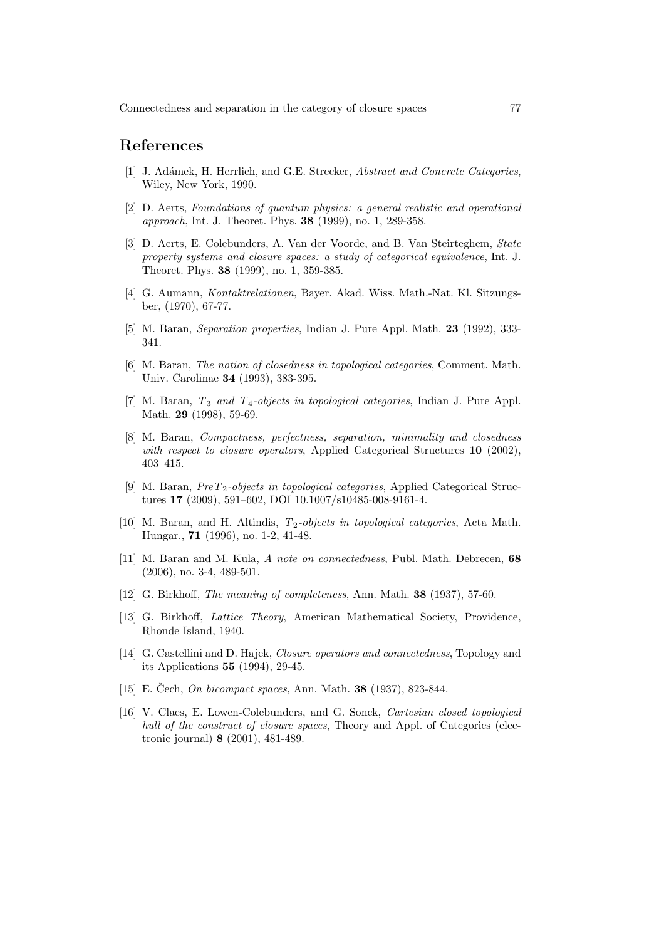#### References

- [1] J. Adámek, H. Herrlich, and G.E. Strecker, Abstract and Concrete Categories, Wiley, New York, 1990.
- [2] D. Aerts, Foundations of quantum physics: a general realistic and operational approach, Int. J. Theoret. Phys. 38 (1999), no. 1, 289-358.
- [3] D. Aerts, E. Colebunders, A. Van der Voorde, and B. Van Steirteghem, State property systems and closure spaces: a study of categorical equivalence, Int. J. Theoret. Phys. 38 (1999), no. 1, 359-385.
- [4] G. Aumann, Kontaktrelationen, Bayer. Akad. Wiss. Math.-Nat. Kl. Sitzungsber, (1970), 67-77.
- [5] M. Baran, Separation properties, Indian J. Pure Appl. Math. 23 (1992), 333- 341.
- [6] M. Baran, The notion of closedness in topological categories, Comment. Math. Univ. Carolinae 34 (1993), 383-395.
- [7] M. Baran,  $T_3$  and  $T_4$ -objects in topological categories, Indian J. Pure Appl. Math. 29 (1998), 59-69.
- [8] M. Baran, Compactness, perfectness, separation, minimality and closedness with respect to closure operators, Applied Categorical Structures 10 (2002), 403–415.
- [9] M. Baran, PreT2-objects in topological categories, Applied Categorical Structures 17 (2009), 591–602, DOI 10.1007/s10485-008-9161-4.
- [10] M. Baran, and H. Altindis,  $T_2$ -objects in topological categories, Acta Math. Hungar., 71 (1996), no. 1-2, 41-48.
- [11] M. Baran and M. Kula, A note on connectedness, Publ. Math. Debrecen, 68 (2006), no. 3-4, 489-501.
- [12] G. Birkhoff, The meaning of completeness, Ann. Math. 38 (1937), 57-60.
- [13] G. Birkhoff, Lattice Theory, American Mathematical Society, Providence, Rhonde Island, 1940.
- [14] G. Castellini and D. Hajek, Closure operators and connectedness, Topology and its Applications 55 (1994), 29-45.
- [15] E. Čech, *On bicompact spaces*, Ann. Math. **38** (1937), 823-844.
- [16] V. Claes, E. Lowen-Colebunders, and G. Sonck, Cartesian closed topological hull of the construct of closure spaces, Theory and Appl. of Categories (electronic journal) 8 (2001), 481-489.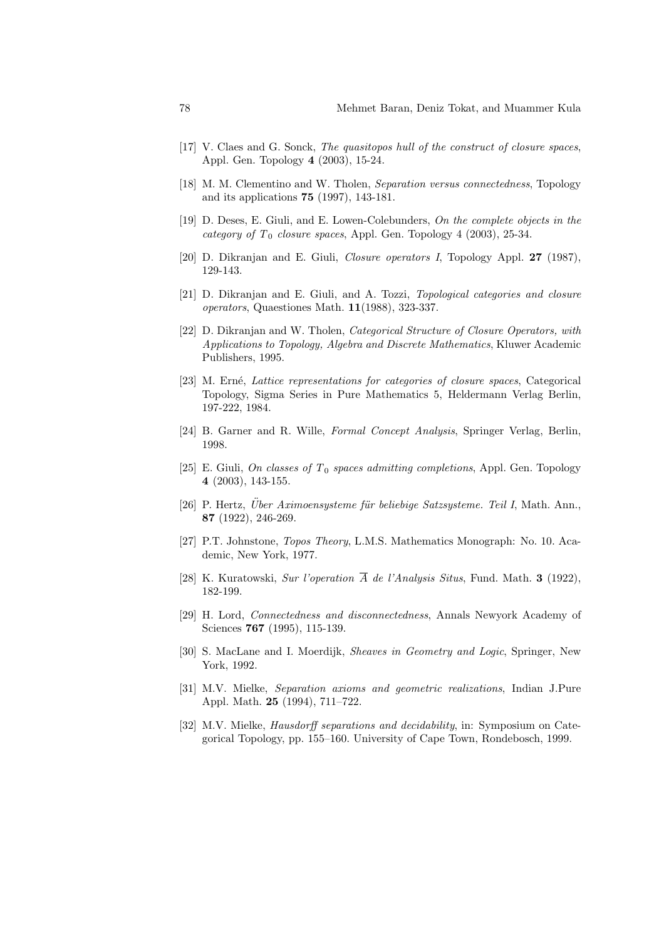- [17] V. Claes and G. Sonck, The quasitopos hull of the construct of closure spaces, Appl. Gen. Topology 4 (2003), 15-24.
- [18] M. M. Clementino and W. Tholen, Separation versus connectedness, Topology and its applications 75 (1997), 143-181.
- [19] D. Deses, E. Giuli, and E. Lowen-Colebunders, On the complete objects in the category of  $T_0$  closure spaces, Appl. Gen. Topology 4 (2003), 25-34.
- [20] D. Dikranjan and E. Giuli, *Closure operators I*, Topology Appl. 27 (1987), 129-143.
- [21] D. Dikranjan and E. Giuli, and A. Tozzi, Topological categories and closure operators, Quaestiones Math. 11(1988), 323-337.
- [22] D. Dikranjan and W. Tholen, Categorical Structure of Closure Operators, with Applications to Topology, Algebra and Discrete Mathematics, Kluwer Academic Publishers, 1995.
- [23] M. Erné, Lattice representations for categories of closure spaces, Categorical Topology, Sigma Series in Pure Mathematics 5, Heldermann Verlag Berlin, 197-222, 1984.
- [24] B. Garner and R. Wille, Formal Concept Analysis, Springer Verlag, Berlin, 1998.
- [25] E. Giuli, On classes of  $T_0$  spaces admitting completions, Appl. Gen. Topology 4 (2003), 143-155.
- $[26]$  P. Hertz, *Über Aximoensysteme für beliebige Satzsysteme. Teil I*, Math. Ann., 87 (1922), 246-269.
- [27] P.T. Johnstone, Topos Theory, L.M.S. Mathematics Monograph: No. 10. Academic, New York, 1977.
- [28] K. Kuratowski, Sur l'operation  $\overline{A}$  de l'Analysis Situs, Fund. Math. **3** (1922), 182-199.
- [29] H. Lord, Connectedness and disconnectedness, Annals Newyork Academy of Sciences **767** (1995), 115-139.
- [30] S. MacLane and I. Moerdijk, Sheaves in Geometry and Logic, Springer, New York, 1992.
- [31] M.V. Mielke, Separation axioms and geometric realizations, Indian J.Pure Appl. Math. 25 (1994), 711–722.
- [32] M.V. Mielke, Hausdorff separations and decidability, in: Symposium on Categorical Topology, pp. 155–160. University of Cape Town, Rondebosch, 1999.